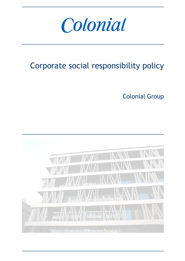

# Corporate social responsibility policy

Colonial Group

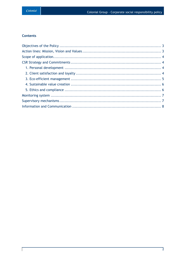# **Contents**

 $\overline{\phantom{a}}$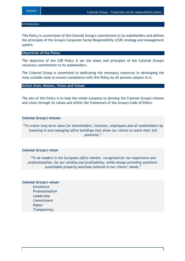#### **Introduction**

This Policy is cornerstone of the Colonial Group's commitment to its stakeholders and defines the principles of the Group's Corporate Social Responsibility (CSR) strategy and management system.

#### <span id="page-2-0"></span>**Objectives of the Policy**

The objective of the CSR Policy is set the bases and principles of the Colonial Group's voluntary commitment to its stakeholders.

The Colonial Group is committed to dedicating the necessary resources to developing the most suitable tools to ensure compliance with this Policy by all persons subject to it.

<span id="page-2-1"></span>**Action lines: Mission, Vision and Values**

The aim of this Policy is to help the whole company to develop the Colonial Group's mission and vision through its values and within the framework of the Group's Code of Ethics.

#### **Colonial Group's mission**

*"To create long-term value for shareholders, investors, employees and all stakeholders by investing in and managing office buildings that allow our clients to reach their full potential."* 

#### **Colonial Group's vision**

*"To be leaders in the European office market, recognised for our experience and professionalism, for our solidity and profitability, while always providing excellent, sustainable property solutions tailored to our clients' needs."*

#### **Colonial Group's values**

*Excellence Professionalism Leadership Commitment Rigour Transparency*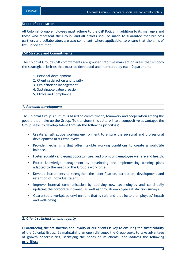#### <span id="page-3-0"></span>**Scope of application**

All Colonial Group employees must adhere to the CSR Policy, in addition to its managers and those who represent the Group, and all efforts shall be made to guarantee that business partners and collaborators are also compliant, where applicable, to ensure that the aims of this Policy are met.

# <span id="page-3-1"></span>**CSR Strategy and Commitments**

The Colonial Group's CSR commitments are grouped into five main action areas that embody the strategic priorities that must be developed and monitored by each Department:

- 1. Personal development
- 2. Client satisfaction and loyalty
- 3. Eco-efficient management
- 4. Sustainable value creation
- 5. Ethics and compliance

#### <span id="page-3-2"></span>*1. Personal development*

The Colonial Group's culture is based on commitment, teamwork and cooperation among the people that make up the Group. To transform this culture into a competitive advantage, the Group seeks to develop talent through the following **priorities:**

- Create an attractive working environment to ensure the personal and professional development of its employees.
- Provide mechanisms that offer flexible working conditions to create a work/life balance.
- Foster equality and equal opportunities, and promoting employee welfare and health.
- Foster knowledge management by developing and implementing training plans adapted to the needs of the Group's workforce.
- Develop instruments to strengthen the identification, attraction, development and retention of individual talent.
- **IMPROVE internal communication by applying new technologies and continually** updating the corporate intranet, as well as through employee satisfaction surveys.
- Guarantee a workplace environment that is safe and that fosters employees' health and well-being.

# <span id="page-3-3"></span>*2. Client satisfaction and loyalty*

Guaranteeing the satisfaction and loyalty of our clients is key to ensuring the sustainability of the Colonial Group. By maintaining an open dialogue, the Group seeks to take advantage of growth opportunities, satisfying the needs of its clients, and address the following **priorities:**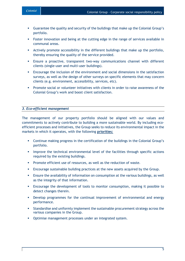- Guarantee the quality and security of the buildings that make up the Colonial Group's portfolio.
- Foster innovation and being at the cutting edge in the range of services available in communal areas.
- Actively promote accessibility in the different buildings that make up the portfolio, thereby ensuring the quality of the service provided.
- Ensure a proactive, transparent two-way communications channel with different clients (single-user and multi-user buildings).
- Encourage the inclusion of the environment and social dimensions in the satisfaction surveys, as well as the design of other surveys on specific elements that may concern clients (e.g. environment, accessibility, services, etc).
- **Promote social or volunteer initiatives with clients in order to raise awareness of the** Colonial Group's work and boost client satisfaction.

# <span id="page-4-0"></span>*3. Eco-efficient management*

The management of our property portfolio should be aligned with our values and commitments to actively contribute to building a more sustainable world. By including ecoefficient processes and initiatives, the Group seeks to reduce its environmental impact in the markets in which it operates, with the following **priorities:**

- Continue making progress in the certification of the buildings in the Colonial Group's portfolio.
- **IMPROVE the technical environmental level of the facilities through specific actions** required by the existing buildings.
- Promote efficient use of resources, as well as the reduction of waste.
- Encourage sustainable building practices at the new assets acquired by the Group.
- Ensure the availability of information on consumption at the various buildings, as well as the integrity of that information.
- Encourage the development of tools to monitor consumption, making it possible to detect changes therein.
- Develop programmes for the continual improvement of environmental and energy performance.
- Standardise and uniformly implement the sustainable procurement strategy across the various companies in the Group.
- **•** Optimise management processes under an integrated system.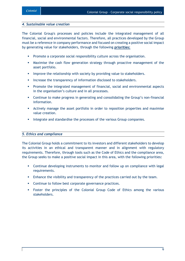#### <span id="page-5-0"></span>*4. Sustainable value creation*

The Colonial Group's processes and policies include the integrated management of all financial, social and environmental factors. Therefore, all practices developed by the Group must be a reference in company performance and focused on creating a positive social impact by generating value for stakeholders, through the following **priorities:**

- **Promote a corporate social responsibility culture across the organisation.**
- Maximise the cash flow generation strategy through proactive management of the asset portfolio.
- **IMPROVE the relationship with society by providing value to stakeholders.**
- **Increase the transparency of information disclosed to stakeholders.**
- **Promote the integrated management of financial, social and environmental aspects** in the organisation's culture and in all processes.
- Continue to make progress in generating and consolidating the Group's non-financial information.
- Actively manage the asset portfolio in order to reposition properties and maximise value creation.
- **Integrate and standardise the processes of the various Group companies.**

### <span id="page-5-1"></span>*5. Ethics and compliance*

The Colonial Group holds a commitment to its investors and different stakeholders to develop its activities in an ethical and transparent manner and in alignment with regulatory requirements. Therefore, through tools such as the Code of Ethics and the compliance area, the Group seeks to make a positive social impact in this area, with the following priorities**:**

- Continue developing instruments to monitor and follow up on compliance with legal requirements.
- **Enhance the visibility and transparency of the practices carried out by the team.**
- **Continue to follow best corporate governance practices.**
- Foster the principles of the Colonial Group Code of Ethics among the various stakeholders.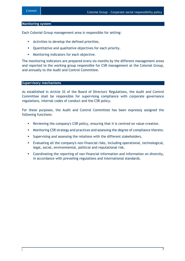#### <span id="page-6-0"></span>**Monitoring system**

Each Colonial Group management area is responsible for setting:

- Activities to develop the defined priorities.
- Quantitative and qualitative objectives for each priority.
- **•** Monitoring indicators for each objective.

The monitoring indicators are prepared every six months by the different management areas and reported to the working group responsible for CSR management at the Colonial Group, and annually to the Audit and Control Committee.

#### <span id="page-6-1"></span>**Supervisory mechanisms**

As established in Article 32 of the Board of Directors' Regulations, the Audit and Control Committee shall be responsible for supervising compliance with corporate governance regulations, internal codes of conduct and the CSR policy.

For these purposes, the Audit and Control Committee has been expressly assigned the following functions:

- Reviewing the company's CSR policy, ensuring that it is centred on value-creation.
- **Monitoring CSR strategy and practices and assessing the degree of compliance thereto.**
- Supervising and assessing the relations with the different stakeholders.
- Evaluating all the company's non-financial risks, including operational, technological, legal, social, environmental, political and reputational risk.
- Coordinating the reporting of non-financial information and information on diversity, in accordance with prevailing regulations and international standards.